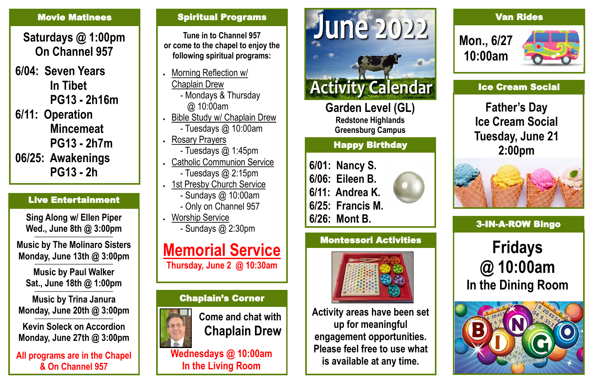**Garden Level (GL) Redstone Highlands Greensburg Campus**

## Happy Birthday

**6/01: Nancy S. 6/06: Eileen B. 6/11: Andrea K.**

**6/25: Francis M.**



## **Fridays @ 10:00am In the Dining Room**



### Spiritual Programs

**Tune in to Channel 957 or come to the chapel to enjoy the following spiritual programs:**

- Morning Reflection w/ Chaplain Drew - Mondays & Thursday
	- @ 10:00am
- Bible Study w/ Chaplain Drew
	- Tuesdays @ 10:00am
- Rosary Prayers - Tuesdays @ 1:45pm
- Catholic Communion Service
	- Tuesdays @ 2:15pm
- 1st Presby Church Service
	- Sundays @ 10:00am
	- Only on Channel 957
	- Worship Service - Sundays @ 2:30pm

# **Memorial Service**

**Thursday, June 2 @ 10:30am**

## Chaplain's Corner



**Come and chat with Chaplain Drew**

**Wednesdays @ 10:00am In the Living Room**



# **Activity Calendar**

### Van Rides





## Montessori Activities



**Activity areas have been set up for meaningful engagement opportunities. Please feel free to use what is available at any time.**

**Sing Along w/ Ellen Piper Wed., June 8th @ 3:00pm**

**—————————————————————— Music by The Molinaro Sisters Monday, June 13th @ 3:00pm**

**—————————————————————— Music by Paul Walker Sat., June 18th @ 1:00pm**

**—————————————————————— Music by Trina Janura Monday, June 20th @ 3:00pm**

**—————————————————————— Kevin Soleck on Accordion Monday, June 27th @ 3:00pm**

**All programs are in the Chapel & On Channel 957**

## Live Entertainment

#### Movie Matinees

**Saturdays @ 1:00pm On Channel 957**

**6/04: Seven Years In Tibet PG13 - 2h16m**

**6/11: Operation Mincemeat PG13 - 2h7m**

**06/25: Awakenings PG13 - 2h**

### Ice Cream Social

**Father's Day Ice Cream Social Tuesday, June 21 2:00pm** 

## **6/26: Mont B. 2008 10:00 Mont B. 2008 10:00 Mont Bingo**